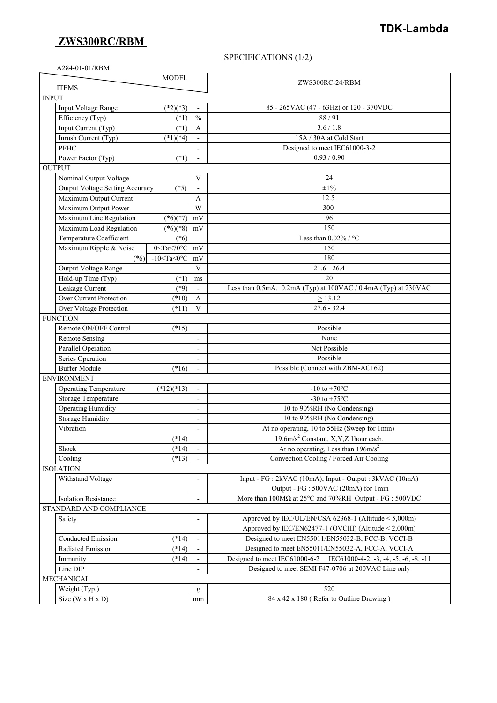## **ZWS300RC/RBM**

## SPECIFICATIONS (1/2)

| A284-01-01/RBM                                      |                |                                                                                         |  |  |
|-----------------------------------------------------|----------------|-----------------------------------------------------------------------------------------|--|--|
| <b>MODEL</b>                                        |                |                                                                                         |  |  |
| <b>ITEMS</b>                                        |                | ZWS300RC-24/RBM                                                                         |  |  |
| <b>INPUT</b>                                        |                |                                                                                         |  |  |
| $(*2)(*3)$<br>Input Voltage Range                   |                | 85 - 265VAC (47 - 63Hz) or 120 - 370VDC                                                 |  |  |
| Efficiency (Typ)<br>$(*1)$                          | $\frac{0}{0}$  | 88/91                                                                                   |  |  |
| Input Current (Typ)<br>$(*1)$                       | A              | 3.6/1.8                                                                                 |  |  |
| Inrush Current (Typ)<br>$(*1)(*4)$                  |                | 15A / 30A at Cold Start                                                                 |  |  |
| <b>PFHC</b>                                         |                | Designed to meet IEC61000-3-2                                                           |  |  |
| Power Factor (Typ)<br>$(*1)$                        |                | 0.93 / 0.90                                                                             |  |  |
| <b>OUTPUT</b>                                       |                |                                                                                         |  |  |
| Nominal Output Voltage                              | V              | 24                                                                                      |  |  |
| Output Voltage Setting Accuracy<br>$(*5)$           |                | $\pm 1\%$                                                                               |  |  |
| Maximum Output Current                              | A              | 12.5                                                                                    |  |  |
| Maximum Output Power                                | W              | 300                                                                                     |  |  |
| Maximum Line Regulation<br>$(*6)(*7)$               | mV             | 96                                                                                      |  |  |
| Maximum Load Regulation<br>$(*6)(*8)$               | mV             | 150                                                                                     |  |  |
| Temperature Coefficient<br>$(*6)$                   |                | Less than $0.02\%$ / °C                                                                 |  |  |
| Maximum Ripple & Noise<br>0≤Ta≤70°C                 | mV             | 150                                                                                     |  |  |
| -10 <ta<0<math>°C<br/><math>(*6)</math></ta<0<math> | mV             | 180                                                                                     |  |  |
| Output Voltage Range                                | $\mathbf{V}$   | $21.6 - 26.4$                                                                           |  |  |
| Hold-up Time (Typ)<br>$(*1)$                        | $\rm ms$       | 20                                                                                      |  |  |
| Leakage Current<br>$(*9)$                           | $\blacksquare$ | Less than 0.5mA. 0.2mA (Typ) at 100VAC / 0.4mA (Typ) at 230VAC                          |  |  |
| Over Current Protection<br>$(*10)$                  | A              | > 13.12                                                                                 |  |  |
| Over Voltage Protection<br>$(*11)$                  | V              | $27.6 - 32.4$                                                                           |  |  |
| <b>FUNCTION</b>                                     |                |                                                                                         |  |  |
| Remote ON/OFF Control<br>$(*15)$                    |                | Possible                                                                                |  |  |
| Remote Sensing                                      | ÷.             | None                                                                                    |  |  |
| Parallel Operation                                  |                | Not Possible                                                                            |  |  |
| Series Operation                                    |                | Possible                                                                                |  |  |
| <b>Buffer Module</b><br>$(*16)$                     |                | Possible (Connect with ZBM-AC162)                                                       |  |  |
| <b>ENVIRONMENT</b>                                  |                |                                                                                         |  |  |
| Operating Temperature<br>$(*12)(*13)$               |                | -10 to +70 $^{\circ}$ C                                                                 |  |  |
| Storage Temperature                                 | ä,             | -30 to +75 $^{\circ}$ C                                                                 |  |  |
| <b>Operating Humidity</b>                           |                | 10 to 90%RH (No Condensing)                                                             |  |  |
| <b>Storage Humidity</b>                             |                | 10 to 90%RH (No Condensing)                                                             |  |  |
| Vibration                                           |                | At no operating, 10 to 55Hz (Sweep for 1min)                                            |  |  |
| $(*14)$                                             |                | 19.6m/s <sup>2</sup> Constant, X,Y,Z 1hour each.                                        |  |  |
| $(*14)$<br>Shock                                    |                | At no operating, Less than $196 \text{m/s}^2$                                           |  |  |
| Cooling<br>$(*13)$                                  |                | Convection Cooling / Forced Air Cooling                                                 |  |  |
| <b>ISOLATION</b>                                    |                |                                                                                         |  |  |
| Withstand Voltage                                   |                | Input - FG : 2kVAC (10mA), Input - Output : 3kVAC (10mA)                                |  |  |
|                                                     |                | Output - FG : 500VAC (20mA) for 1min                                                    |  |  |
| <b>Isolation Resistance</b>                         |                | More than $100M\Omega$ at $25^{\circ}$ C and $70\%$ RH Output - FG : $500$ VDC          |  |  |
| STANDARD AND COMPLIANCE                             |                |                                                                                         |  |  |
| Safety                                              |                | Approved by IEC/UL/EN/CSA $62368-1$ (Altitude $< 5,000$ m)                              |  |  |
|                                                     |                | Approved by IEC/EN62477-1 (OVCIII) (Altitude $\leq$ 2,000m)                             |  |  |
| Conducted Emission<br>$(*14)$                       |                | Designed to meet EN55011/EN55032-B, FCC-B, VCCI-B                                       |  |  |
| $(*14)$<br>Radiated Emission                        |                | Designed to meet EN55011/EN55032-A, FCC-A, VCCI-A                                       |  |  |
| $(*14)$<br>Immunity                                 |                | Designed to meet IEC61000-6-2<br>IEC61000-4-2, $-3$ , $-4$ , $-5$ , $-6$ , $-8$ , $-11$ |  |  |
| Line DIP                                            |                | Designed to meet SEMI F47-0706 at 200VAC Line only                                      |  |  |
| MECHANICAL                                          |                |                                                                                         |  |  |
| Weight (Typ.)                                       |                | 520                                                                                     |  |  |
| Size (W x H x D)                                    | g<br>mm        | 84 x 42 x 180 (Refer to Outline Drawing)                                                |  |  |
|                                                     |                |                                                                                         |  |  |